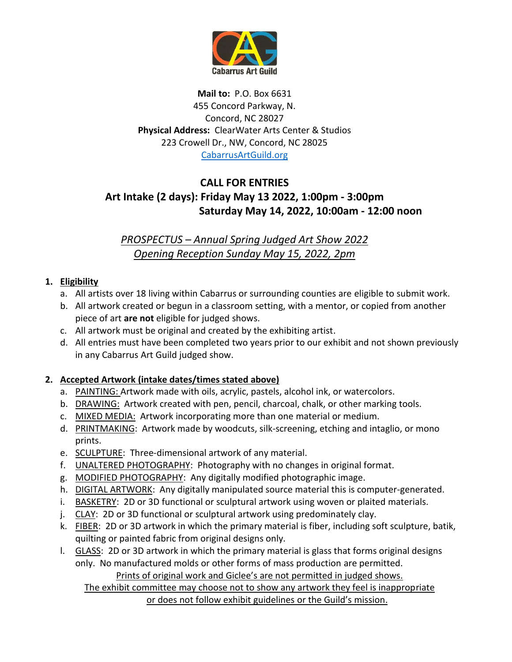

**Mail to:** P.O. Box 6631 455 Concord Parkway, N. Concord, NC 28027 **Physical Address:** ClearWater Arts Center & Studios 223 Crowell Dr., NW, Concord, NC 28025 [CabarrusArtGuild.org](http://www.cabarrusartguild.org/)

## **CALL FOR ENTRIES Art Intake (2 days): Friday May 13 2022, 1:00pm - 3:00pm Saturday May 14, 2022, 10:00am - 12:00 noon**

*PROSPECTUS – Annual Spring Judged Art Show 2022 Opening Reception Sunday May 15, 2022, 2pm*

### **1. Eligibility**

- a. All artists over 18 living within Cabarrus or surrounding counties are eligible to submit work.
- b. All artwork created or begun in a classroom setting, with a mentor, or copied from another piece of art **are not** eligible for judged shows.
- c. All artwork must be original and created by the exhibiting artist.
- d. All entries must have been completed two years prior to our exhibit and not shown previously in any Cabarrus Art Guild judged show.

### **2. Accepted Artwork (intake dates/times stated above)**

- a. PAINTING: Artwork made with oils, acrylic, pastels, alcohol ink, or watercolors.
- b. DRAWING: Artwork created with pen, pencil, charcoal, chalk, or other marking tools.
- c. MIXED MEDIA: Artwork incorporating more than one material or medium.
- d. PRINTMAKING: Artwork made by woodcuts, silk-screening, etching and intaglio, or mono prints.
- e. SCULPTURE: Three-dimensional artwork of any material.
- f. UNALTERED PHOTOGRAPHY: Photography with no changes in original format.
- g. MODIFIED PHOTOGRAPHY: Any digitally modified photographic image.
- h. DIGITAL ARTWORK: Any digitally manipulated source material this is computer-generated.
- i. BASKETRY: 2D or 3D functional or sculptural artwork using woven or plaited materials.
- j. CLAY: 2D or 3D functional or sculptural artwork using predominately clay.
- k. FIBER: 2D or 3D artwork in which the primary material is fiber, including soft sculpture, batik, quilting or painted fabric from original designs only.
- l. GLASS: 2D or 3D artwork in which the primary material is glass that forms original designs only. No manufactured molds or other forms of mass production are permitted.

Prints of original work and Giclee's are not permitted in judged shows.

The exhibit committee may choose not to show any artwork they feel is inappropriate or does not follow exhibit guidelines or the Guild's mission.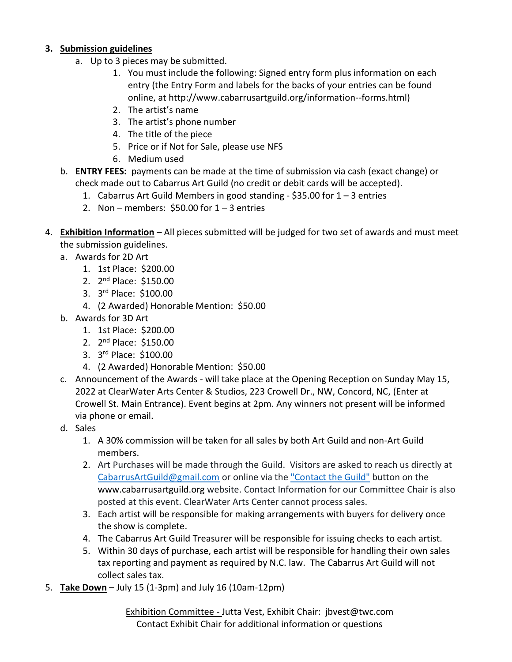#### **3. Submission guidelines**

- a. Up to 3 pieces may be submitted.
	- 1. You must include the following: Signed entry form plus information on each entry (the Entry Form and labels for the backs of your entries can be found online, at http://www.cabarrusartguild.org/information--forms.html)
	- 2. The artist's name
	- 3. The artist's phone number
	- 4. The title of the piece
	- 5. Price or if Not for Sale, please use NFS
	- 6. Medium used
- b. **ENTRY FEES:** payments can be made at the time of submission via cash (exact change) or check made out to Cabarrus Art Guild (no credit or debit cards will be accepted).
	- 1. Cabarrus Art Guild Members in good standing  $$35.00$  for  $1 3$  entries
	- 2. Non members:  $$50.00$  for  $1 3$  entries
- 4. **Exhibition Information** All pieces submitted will be judged for two set of awards and must meet the submission guidelines.
	- a. Awards for 2D Art
		- 1. 1st Place: \$200.00
		- 2. 2<sup>nd</sup> Place: \$150.00
		- 3. 3 rd Place: \$100.00
		- 4. (2 Awarded) Honorable Mention: \$50.00
	- b. Awards for 3D Art
		- 1. 1st Place: \$200.00
		- 2. 2<sup>nd</sup> Place: \$150.00
		- 3. 3 rd Place: \$100.00
		- 4. (2 Awarded) Honorable Mention: \$50.00
	- c. Announcement of the Awards will take place at the Opening Reception on Sunday May 15, 2022 at ClearWater Arts Center & Studios, 223 Crowell Dr., NW, Concord, NC, (Enter at Crowell St. Main Entrance). Event begins at 2pm. Any winners not present will be informed via phone or email.
	- d. Sales
		- 1. A 30% commission will be taken for all sales by both Art Guild and non-Art Guild members.
		- 2. Art Purchases will be made through the Guild. Visitors are asked to reach us directly at [CabarrusArtGuild@gmail.com](mailto:CabarrusArtGuild@gmail.com) or online via the ["Contact the Guild"](http://www.cabarrusartguild.org/contact-us.html) button on the www.cabarrusartguild.org website. Contact Information for our Committee Chair is also posted at this event. ClearWater Arts Center cannot process sales.
		- 3. Each artist will be responsible for making arrangements with buyers for delivery once the show is complete.
		- 4. The Cabarrus Art Guild Treasurer will be responsible for issuing checks to each artist.
		- 5. Within 30 days of purchase, each artist will be responsible for handling their own sales tax reporting and payment as required by N.C. law. The Cabarrus Art Guild will not collect sales tax.
- 5. **Take Down** July 15 (1-3pm) and July 16 (10am-12pm)

Exhibition Committee - Jutta Vest, Exhibit Chair: jbvest@twc.com Contact Exhibit Chair for additional information or questions